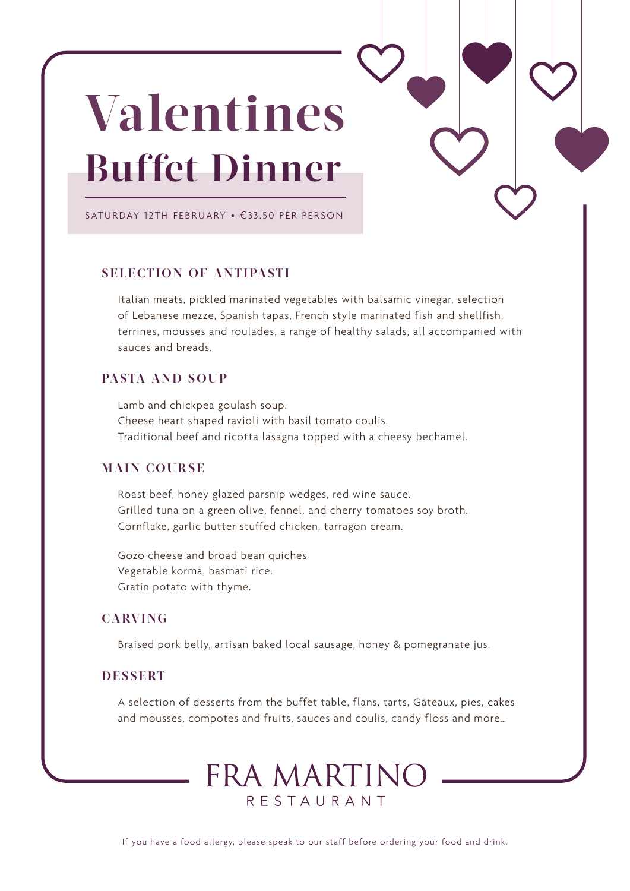# **Valentines Buffet Dinner**

SATURDAY 12TH FEBRUARY • €33 .50 PER PERSON

### **SELECTION OF ANTIPASTI**

Italian meats, pickled marinated vegetables with balsamic vinegar, selection of Lebanese mezze, Spanish tapas, French style marinated fish and shellfish, terrines, mousses and roulades, a range of healthy salads, all accompanied with sauces and breads.

### **PASTA AND SOUP**

Lamb and chickpea goulash soup. Cheese heart shaped ravioli with basil tomato coulis. Traditional beef and ricotta lasagna topped with a cheesy bechamel.

### **MAIN COURSE**

Roast beef, honey glazed parsnip wedges, red wine sauce. Grilled tuna on a green olive, fennel, and cherry tomatoes soy broth. Cornflake, garlic butter stuffed chicken, tarragon cream.

Gozo cheese and broad bean quiches Vegetable korma, basmati rice. Gratin potato with thyme.

# **CARVING**

Braised pork belly, artisan baked local sausage, honey & pomegranate jus.

# **DESSERT**

A selection of desserts from the buffet table, flans, tarts, Gâteaux, pies, cakes and mousses, compotes and fruits, sauces and coulis, candy floss and more…